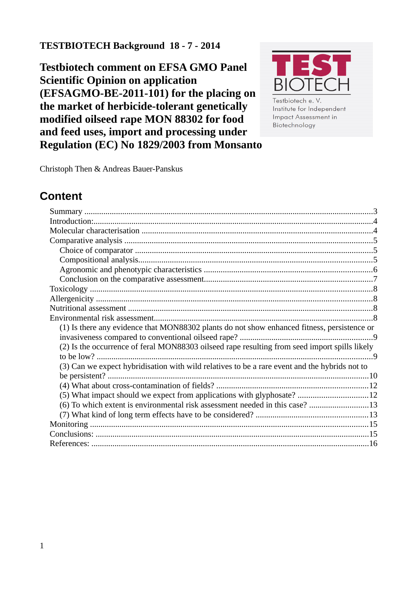### **TESTBIOTECH Background 18 - 7 - 2014**

**Testbiotech comment on EFSA GMO Panel Scientific Opinion on application (EFSAGMO-BE-2011-101) for the placing on the market of herbicide-tolerant genetically modified oilseed rape MON 88302 for food and feed uses, import and processing under Regulation (EC) No 1829/2003 from Monsanto**



Institute for Independent **Impact Assessment in** Biotechnology

Christoph Then & Andreas Bauer-Panskus

# **Content**

| (1) Is there any evidence that MON88302 plants do not show enhanced fitness, persistence or   |  |
|-----------------------------------------------------------------------------------------------|--|
|                                                                                               |  |
| (2) Is the occurrence of feral MON88303 oilseed rape resulting from seed import spills likely |  |
|                                                                                               |  |
| (3) Can we expect hybridisation with wild relatives to be a rare event and the hybrids not to |  |
|                                                                                               |  |
|                                                                                               |  |
| (5) What impact should we expect from applications with glyphosate? 12                        |  |
| (6) To which extent is environmental risk assessment needed in this case? 13                  |  |
|                                                                                               |  |
|                                                                                               |  |
|                                                                                               |  |
|                                                                                               |  |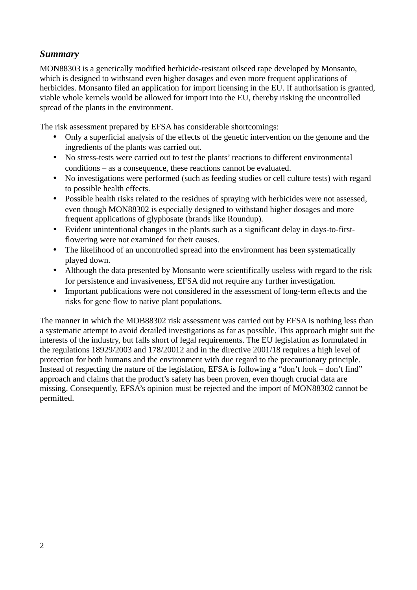#### <span id="page-1-0"></span>*Summary*

MON88303 is a genetically modified herbicide-resistant oilseed rape developed by Monsanto, which is designed to withstand even higher dosages and even more frequent applications of herbicides. Monsanto filed an application for import licensing in the EU. If authorisation is granted, viable whole kernels would be allowed for import into the EU, thereby risking the uncontrolled spread of the plants in the environment.

The risk assessment prepared by EFSA has considerable shortcomings:

- Only a superficial analysis of the effects of the genetic intervention on the genome and the ingredients of the plants was carried out.
- No stress-tests were carried out to test the plants' reactions to different environmental conditions – as a consequence, these reactions cannot be evaluated.
- No investigations were performed (such as feeding studies or cell culture tests) with regard to possible health effects.
- Possible health risks related to the residues of spraying with herbicides were not assessed, even though MON88302 is especially designed to withstand higher dosages and more frequent applications of glyphosate (brands like Roundup).
- Evident unintentional changes in the plants such as a significant delay in days-to-firstflowering were not examined for their causes.
- The likelihood of an uncontrolled spread into the environment has been systematically played down.
- Although the data presented by Monsanto were scientifically useless with regard to the risk for persistence and invasiveness, EFSA did not require any further investigation.
- Important publications were not considered in the assessment of long-term effects and the risks for gene flow to native plant populations.

The manner in which the MOB88302 risk assessment was carried out by EFSA is nothing less than a systematic attempt to avoid detailed investigations as far as possible. This approach might suit the interests of the industry, but falls short of legal requirements. The EU legislation as formulated in the regulations 18929/2003 and 178/20012 and in the directive 2001/18 requires a high level of protection for both humans and the environment with due regard to the precautionary principle. Instead of respecting the nature of the legislation, EFSA is following a "don't look – don't find" approach and claims that the product's safety has been proven, even though crucial data are missing. Consequently, EFSA's opinion must be rejected and the import of MON88302 cannot be permitted.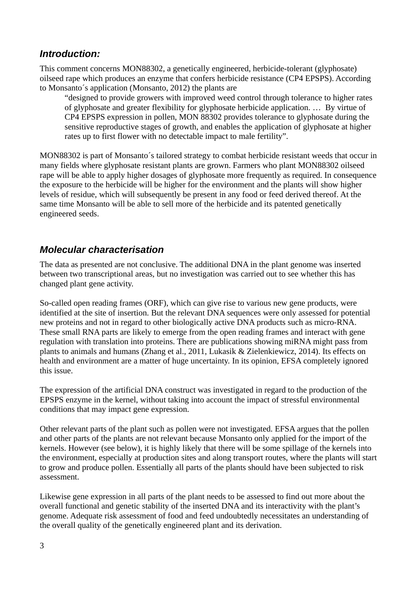#### <span id="page-2-1"></span>*Introduction:*

This comment concerns MON88302, a genetically engineered, herbicide-tolerant (glyphosate) oilseed rape which produces an enzyme that confers herbicide resistance (CP4 EPSPS). According to Monsanto´s application (Monsanto, 2012) the plants are

"designed to provide growers with improved weed control through tolerance to higher rates of glyphosate and greater flexibility for glyphosate herbicide application. … By virtue of CP4 EPSPS expression in pollen, MON 88302 provides tolerance to glyphosate during the sensitive reproductive stages of growth, and enables the application of glyphosate at higher rates up to first flower with no detectable impact to male fertility".

MON88302 is part of Monsanto´s tailored strategy to combat herbicide resistant weeds that occur in many fields where glyphosate resistant plants are grown. Farmers who plant MON88302 oilseed rape will be able to apply higher dosages of glyphosate more frequently as required. In consequence the exposure to the herbicide will be higher for the environment and the plants will show higher levels of residue, which will subsequently be present in any food or feed derived thereof. At the same time Monsanto will be able to sell more of the herbicide and its patented genetically engineered seeds.

#### <span id="page-2-0"></span>*Molecular characterisation*

The data as presented are not conclusive. The additional DNA in the plant genome was inserted between two transcriptional areas, but no investigation was carried out to see whether this has changed plant gene activity.

So-called open reading frames (ORF), which can give rise to various new gene products, were identified at the site of insertion. But the relevant DNA sequences were only assessed for potential new proteins and not in regard to other biologically active DNA products such as micro-RNA. These small RNA parts are likely to emerge from the open reading frames and interact with gene regulation with translation into proteins. There are publications showing miRNA might pass from plants to animals and humans (Zhang et al., 2011, Lukasik & Zielenkiewicz, 2014). Its effects on health and environment are a matter of huge uncertainty. In its opinion, EFSA completely ignored this issue.

The expression of the artificial DNA construct was investigated in regard to the production of the EPSPS enzyme in the kernel, without taking into account the impact of stressful environmental conditions that may impact gene expression.

Other relevant parts of the plant such as pollen were not investigated. EFSA argues that the pollen and other parts of the plants are not relevant because Monsanto only applied for the import of the kernels. However (see below), it is highly likely that there will be some spillage of the kernels into the environment, especially at production sites and along transport routes, where the plants will start to grow and produce pollen. Essentially all parts of the plants should have been subjected to risk assessment.

Likewise gene expression in all parts of the plant needs to be assessed to find out more about the overall functional and genetic stability of the inserted DNA and its interactivity with the plant's genome. Adequate risk assessment of food and feed undoubtedly necessitates an understanding of the overall quality of the genetically engineered plant and its derivation.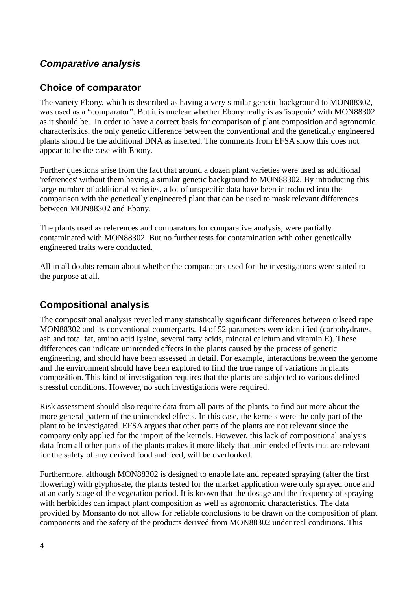### <span id="page-3-2"></span>*Comparative analysis*

#### <span id="page-3-1"></span>**Choice of comparator**

The variety Ebony, which is described as having a very similar genetic background to MON88302, was used as a "comparator". But it is unclear whether Ebony really is as 'isogenic' with MON88302 as it should be. In order to have a correct basis for comparison of plant composition and agronomic characteristics, the only genetic difference between the conventional and the genetically engineered plants should be the additional DNA as inserted. The comments from EFSA show this does not appear to be the case with Ebony.

Further questions arise from the fact that around a dozen plant varieties were used as additional 'references' without them having a similar genetic background to MON88302. By introducing this large number of additional varieties, a lot of unspecific data have been introduced into the comparison with the genetically engineered plant that can be used to mask relevant differences between MON88302 and Ebony.

The plants used as references and comparators for comparative analysis, were partially contaminated with MON88302. But no further tests for contamination with other genetically engineered traits were conducted.

All in all doubts remain about whether the comparators used for the investigations were suited to the purpose at all.

### <span id="page-3-0"></span>**Compositional analysis**

The compositional analysis revealed many statistically significant differences between oilseed rape MON88302 and its conventional counterparts. 14 of 52 parameters were identified (carbohydrates, ash and total fat, amino acid lysine, several fatty acids, mineral calcium and vitamin E). These differences can indicate unintended effects in the plants caused by the process of genetic engineering, and should have been assessed in detail. For example, interactions between the genome and the environment should have been explored to find the true range of variations in plants composition. This kind of investigation requires that the plants are subjected to various defined stressful conditions. However, no such investigations were required.

Risk assessment should also require data from all parts of the plants, to find out more about the more general pattern of the unintended effects. In this case, the kernels were the only part of the plant to be investigated. EFSA argues that other parts of the plants are not relevant since the company only applied for the import of the kernels. However, this lack of compositional analysis data from all other parts of the plants makes it more likely that unintended effects that are relevant for the safety of any derived food and feed, will be overlooked.

Furthermore, although MON88302 is designed to enable late and repeated spraying (after the first flowering) with glyphosate, the plants tested for the market application were only sprayed once and at an early stage of the vegetation period. It is known that the dosage and the frequency of spraying with herbicides can impact plant composition as well as agronomic characteristics. The data provided by Monsanto do not allow for reliable conclusions to be drawn on the composition of plant components and the safety of the products derived from MON88302 under real conditions. This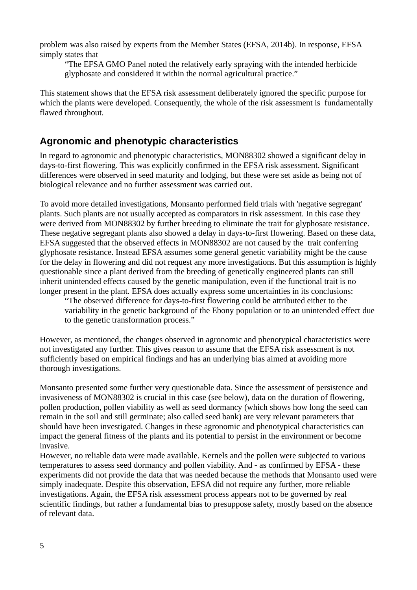problem was also raised by experts from the Member States (EFSA, 2014b). In response, EFSA simply states that

"The EFSA GMO Panel noted the relatively early spraying with the intended herbicide glyphosate and considered it within the normal agricultural practice."

This statement shows that the EFSA risk assessment deliberately ignored the specific purpose for which the plants were developed. Consequently, the whole of the risk assessment is fundamentally flawed throughout.

### <span id="page-4-0"></span>**Agronomic and phenotypic characteristics**

In regard to agronomic and phenotypic characteristics, MON88302 showed a significant delay in days-to-first flowering. This was explicitly confirmed in the EFSA risk assessment. Significant differences were observed in seed maturity and lodging, but these were set aside as being not of biological relevance and no further assessment was carried out.

To avoid more detailed investigations, Monsanto performed field trials with 'negative segregant' plants. Such plants are not usually accepted as comparators in risk assessment. In this case they were derived from MON88302 by further breeding to eliminate the trait for glyphosate resistance. These negative segregant plants also showed a delay in days-to-first flowering. Based on these data, EFSA suggested that the observed effects in MON88302 are not caused by the trait conferring glyphosate resistance. Instead EFSA assumes some general genetic variability might be the cause for the delay in flowering and did not request any more investigations. But this assumption is highly questionable since a plant derived from the breeding of genetically engineered plants can still inherit unintended effects caused by the genetic manipulation, even if the functional trait is no longer present in the plant. EFSA does actually express some uncertainties in its conclusions:

"The observed difference for days-to-first flowering could be attributed either to the variability in the genetic background of the Ebony population or to an unintended effect due to the genetic transformation process."

However, as mentioned, the changes observed in agronomic and phenotypical characteristics were not investigated any further. This gives reason to assume that the EFSA risk assessment is not sufficiently based on empirical findings and has an underlying bias aimed at avoiding more thorough investigations.

Monsanto presented some further very questionable data. Since the assessment of persistence and invasiveness of MON88302 is crucial in this case (see below), data on the duration of flowering, pollen production, pollen viability as well as seed dormancy (which shows how long the seed can remain in the soil and still germinate; also called seed bank) are very relevant parameters that should have been investigated. Changes in these agronomic and phenotypical characteristics can impact the general fitness of the plants and its potential to persist in the environment or become invasive.

However, no reliable data were made available. Kernels and the pollen were subjected to various temperatures to assess seed dormancy and pollen viability. And - as confirmed by EFSA - these experiments did not provide the data that was needed because the methods that Monsanto used were simply inadequate. Despite this observation, EFSA did not require any further, more reliable investigations. Again, the EFSA risk assessment process appears not to be governed by real scientific findings, but rather a fundamental bias to presuppose safety, mostly based on the absence of relevant data.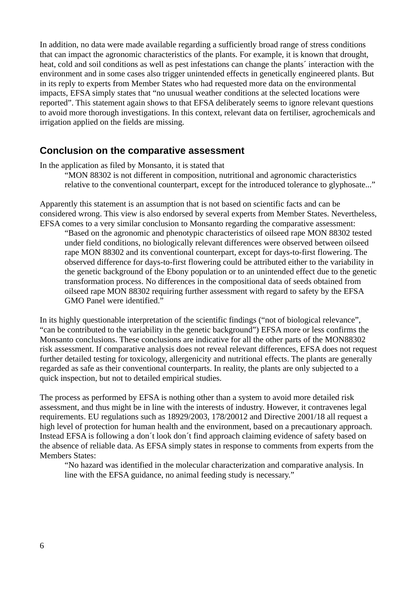In addition, no data were made available regarding a sufficiently broad range of stress conditions that can impact the agronomic characteristics of the plants. For example, it is known that drought, heat, cold and soil conditions as well as pest infestations can change the plants´ interaction with the environment and in some cases also trigger unintended effects in genetically engineered plants. But in its reply to experts from Member States who had requested more data on the environmental impacts, EFSA simply states that "no unusual weather conditions at the selected locations were reported". This statement again shows to that EFSA deliberately seems to ignore relevant questions to avoid more thorough investigations. In this context, relevant data on fertiliser, agrochemicals and irrigation applied on the fields are missing.

#### <span id="page-5-0"></span>**Conclusion on the comparative assessment**

In the application as filed by Monsanto, it is stated that

"MON 88302 is not different in composition, nutritional and agronomic characteristics relative to the conventional counterpart, except for the introduced tolerance to glyphosate..."

Apparently this statement is an assumption that is not based on scientific facts and can be considered wrong. This view is also endorsed by several experts from Member States. Nevertheless, EFSA comes to a very similar conclusion to Monsanto regarding the comparative assessment:

"Based on the agronomic and phenotypic characteristics of oilseed rape MON 88302 tested under field conditions, no biologically relevant differences were observed between oilseed rape MON 88302 and its conventional counterpart, except for days-to-first flowering. The observed difference for days-to-first flowering could be attributed either to the variability in the genetic background of the Ebony population or to an unintended effect due to the genetic transformation process. No differences in the compositional data of seeds obtained from oilseed rape MON 88302 requiring further assessment with regard to safety by the EFSA GMO Panel were identified."

In its highly questionable interpretation of the scientific findings ("not of biological relevance", "can be contributed to the variability in the genetic background") EFSA more or less confirms the Monsanto conclusions. These conclusions are indicative for all the other parts of the MON88302 risk assessment. If comparative analysis does not reveal relevant differences, EFSA does not request further detailed testing for toxicology, allergenicity and nutritional effects. The plants are generally regarded as safe as their conventional counterparts. In reality, the plants are only subjected to a quick inspection, but not to detailed empirical studies.

The process as performed by EFSA is nothing other than a system to avoid more detailed risk assessment, and thus might be in line with the interests of industry. However, it contravenes legal requirements. EU regulations such as 18929/2003, 178/20012 and Directive 2001/18 all request a high level of protection for human health and the environment, based on a precautionary approach. Instead EFSA is following a don´t look don´t find approach claiming evidence of safety based on the absence of reliable data. As EFSA simply states in response to comments from experts from the Members States:

"No hazard was identified in the molecular characterization and comparative analysis. In line with the EFSA guidance, no animal feeding study is necessary."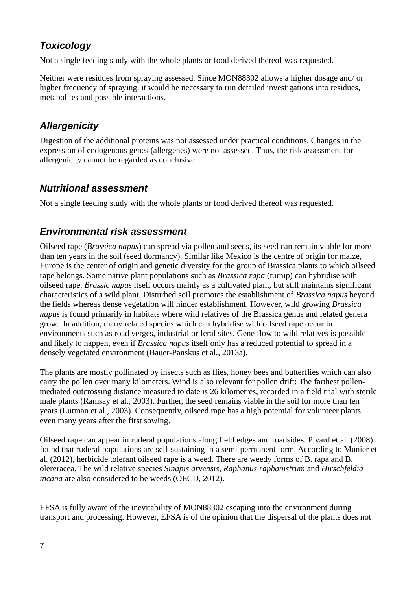# <span id="page-6-3"></span>*Toxicology*

Not a single feeding study with the whole plants or food derived thereof was requested.

Neither were residues from spraying assessed. Since MON88302 allows a higher dosage and/ or higher frequency of spraying, it would be necessary to run detailed investigations into residues, metabolites and possible interactions.

# <span id="page-6-2"></span>*Allergenicity*

Digestion of the additional proteins was not assessed under practical conditions. Changes in the expression of endogenous genes (allergenes) were not assessed. Thus, the risk assessment for allergenicity cannot be regarded as conclusive.

### <span id="page-6-1"></span>*Nutritional assessment*

Not a single feeding study with the whole plants or food derived thereof was requested.

### <span id="page-6-0"></span>*Environmental risk assessment*

Oilseed rape (*Brassica napus*) can spread via pollen and seeds, its seed can remain viable for more than ten years in the soil (seed dormancy). Similar like Mexico is the centre of origin for maize, Europe is the center of origin and genetic diversity for the group of Brassica plants to which oilseed rape belongs. Some native plant populations such as *Brassica rapa* (turnip) can hybridise with oilseed rape. *Brassic napus* itself occurs mainly as a cultivated plant, but still maintains significant characteristics of a wild plant. Disturbed soil promotes the establishment of *Brassica napus* beyond the fields whereas dense vegetation will hinder establishment. However, wild growing *Brassica napus* is found primarily in habitats where wild relatives of the Brassica genus and related genera grow. In addition, many related species which can hybridise with oilseed rape occur in environments such as road verges, industrial or feral sites. Gene flow to wild relatives is possible and likely to happen, even if *Brassica napus* itself only has a reduced potential to spread in a densely vegetated environment (Bauer-Panskus et al., 2013a).

The plants are mostly pollinated by insects such as flies, honey bees and butterflies which can also carry the pollen over many kilometers. Wind is also relevant for pollen drift: The farthest pollenmediated outcrossing distance measured to date is 26 kilometres, recorded in a field trial with sterile male plants (Ramsay et al., 2003). Further, the seed remains viable in the soil for more than ten years (Lutman et al., 2003). Consequently, oilseed rape has a high potential for volunteer plants even many years after the first sowing.

Oilseed rape can appear in ruderal populations along field edges and roadsides. Pivard et al. (2008) found that ruderal populations are self-sustaining in a semi-permanent form. According to Munier et al. (2012), herbicide tolerant oilseed rape is a weed. There are weedy forms of B. rapa and B. olereracea. The wild relative species *Sinapis arvensis*, *Raphanus raphanistrum* and *Hirschfeldia incana* are also considered to be weeds (OECD, 2012).

EFSA is fully aware of the inevitability of MON88302 escaping into the environment during transport and processing. However, EFSA is of the opinion that the dispersal of the plants does not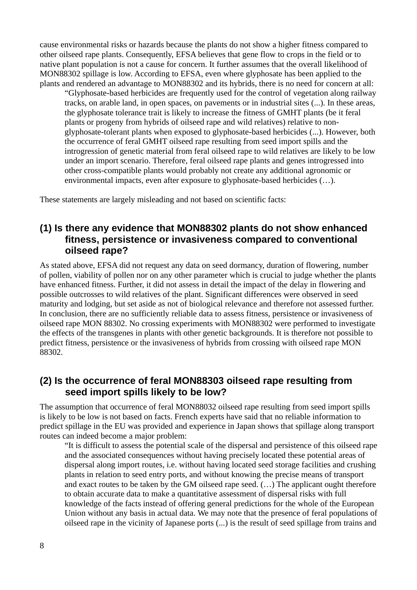cause environmental risks or hazards because the plants do not show a higher fitness compared to other oilseed rape plants. Consequently, EFSA believes that gene flow to crops in the field or to native plant population is not a cause for concern. It further assumes that the overall likelihood of MON88302 spillage is low. According to EFSA, even where glyphosate has been applied to the plants and rendered an advantage to MON88302 and its hybrids, there is no need for concern at all:

"Glyphosate-based herbicides are frequently used for the control of vegetation along railway tracks, on arable land, in open spaces, on pavements or in industrial sites (...). In these areas, the glyphosate tolerance trait is likely to increase the fitness of GMHT plants (be it feral plants or progeny from hybrids of oilseed rape and wild relatives) relative to nonglyphosate-tolerant plants when exposed to glyphosate-based herbicides (...). However, both the occurrence of feral GMHT oilseed rape resulting from seed import spills and the introgression of genetic material from feral oilseed rape to wild relatives are likely to be low under an import scenario. Therefore, feral oilseed rape plants and genes introgressed into other cross-compatible plants would probably not create any additional agronomic or environmental impacts, even after exposure to glyphosate-based herbicides (…).

These statements are largely misleading and not based on scientific facts:

#### <span id="page-7-1"></span>**(1) Is there any evidence that MON88302 plants do not show enhanced fitness, persistence or invasiveness compared to conventional oilseed rape?**

As stated above, EFSA did not request any data on seed dormancy, duration of flowering, number of pollen, viability of pollen nor on any other parameter which is crucial to judge whether the plants have enhanced fitness. Further, it did not assess in detail the impact of the delay in flowering and possible outcrosses to wild relatives of the plant. Significant differences were observed in seed maturity and lodging, but set aside as not of biological relevance and therefore not assessed further. In conclusion, there are no sufficiently reliable data to assess fitness, persistence or invasiveness of oilseed rape MON 88302. No crossing experiments with MON88302 were performed to investigate the effects of the transgenes in plants with other genetic backgrounds. It is therefore not possible to predict fitness, persistence or the invasiveness of hybrids from crossing with oilseed rape MON 88302.

#### <span id="page-7-0"></span>**(2) Is the occurrence of feral MON88303 oilseed rape resulting from seed import spills likely to be low?**

The assumption that occurrence of feral MON88032 oilseed rape resulting from seed import spills is likely to be low is not based on facts. French experts have said that no reliable information to predict spillage in the EU was provided and experience in Japan shows that spillage along transport routes can indeed become a major problem:

"It is difficult to assess the potential scale of the dispersal and persistence of this oilseed rape and the associated consequences without having precisely located these potential areas of dispersal along import routes, i.e. without having located seed storage facilities and crushing plants in relation to seed entry ports, and without knowing the precise means of transport and exact routes to be taken by the GM oilseed rape seed. (…) The applicant ought therefore to obtain accurate data to make a quantitative assessment of dispersal risks with full knowledge of the facts instead of offering general predictions for the whole of the European Union without any basis in actual data. We may note that the presence of feral populations of oilseed rape in the vicinity of Japanese ports (...) is the result of seed spillage from trains and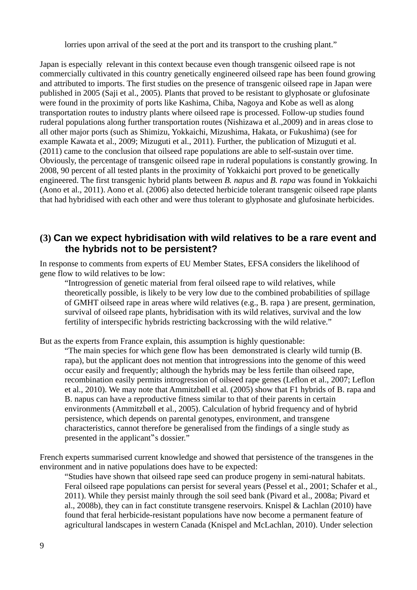lorries upon arrival of the seed at the port and its transport to the crushing plant."

Japan is especially relevant in this context because even though transgenic oilseed rape is not commercially cultivated in this country genetically engineered oilseed rape has been found growing and attributed to imports. The first studies on the presence of transgenic oilseed rape in Japan were published in 2005 (Saji et al., 2005). Plants that proved to be resistant to glyphosate or glufosinate were found in the proximity of ports like Kashima, Chiba, Nagoya and Kobe as well as along transportation routes to industry plants where oilseed rape is processed. Follow-up studies found ruderal populations along further transportation routes (Nishizawa et al.,2009) and in areas close to all other major ports (such as Shimizu, Yokkaichi, Mizushima, Hakata, or Fukushima) (see for example Kawata et al., 2009; Mizuguti et al., 2011). Further, the publication of Mizuguti et al. (2011) came to the conclusion that oilseed rape populations are able to self-sustain over time. Obviously, the percentage of transgenic oilseed rape in ruderal populations is constantly growing. In 2008, 90 percent of all tested plants in the proximity of Yokkaichi port proved to be genetically engineered. The first transgenic hybrid plants between *B. napus* and *B. rapa* was found in Yokkaichi (Aono et al., 2011). Aono et al. (2006) also detected herbicide tolerant transgenic oilseed rape plants that had hybridised with each other and were thus tolerant to glyphosate and glufosinate herbicides.

#### <span id="page-8-0"></span>**(3) Can we expect hybridisation with wild relatives to be a rare event and the hybrids not to be persistent?**

In response to comments from experts of EU Member States, EFSA considers the likelihood of gene flow to wild relatives to be low:

"Introgression of genetic material from feral oilseed rape to wild relatives, while theoretically possible, is likely to be very low due to the combined probabilities of spillage of GMHT oilseed rape in areas where wild relatives (e.g., B. rapa ) are present, germination, survival of oilseed rape plants, hybridisation with its wild relatives, survival and the low fertility of interspecific hybrids restricting backcrossing with the wild relative."

But as the experts from France explain, this assumption is highly questionable:

"The main species for which gene flow has been demonstrated is clearly wild turnip (B. rapa), but the applicant does not mention that introgressions into the genome of this weed occur easily and frequently; although the hybrids may be less fertile than oilseed rape, recombination easily permits introgression of oilseed rape genes (Leflon et al., 2007; Leflon et al., 2010). We may note that Ammitzbøll et al. (2005) show that F1 hybrids of B. rapa and B. napus can have a reproductive fitness similar to that of their parents in certain environments (Ammitzbøll et al., 2005). Calculation of hybrid frequency and of hybrid persistence, which depends on parental genotypes, environment, and transgene characteristics, cannot therefore be generalised from the findings of a single study as presented in the applicant"s dossier."

French experts summarised current knowledge and showed that persistence of the transgenes in the environment and in native populations does have to be expected:

"Studies have shown that oilseed rape seed can produce progeny in semi-natural habitats. Feral oilseed rape populations can persist for several years (Pessel et al., 2001; Schafer et al., 2011). While they persist mainly through the soil seed bank (Pivard et al., 2008a; Pivard et al., 2008b), they can in fact constitute transgene reservoirs. Knispel & Lachlan (2010) have found that feral herbicide-resistant populations have now become a permanent feature of agricultural landscapes in western Canada (Knispel and McLachlan, 2010). Under selection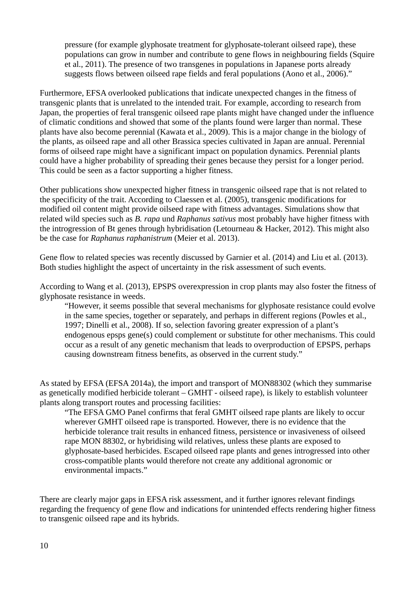pressure (for example glyphosate treatment for glyphosate-tolerant oilseed rape), these populations can grow in number and contribute to gene flows in neighbouring fields (Squire et al., 2011). The presence of two transgenes in populations in Japanese ports already suggests flows between oilseed rape fields and feral populations (Aono et al., 2006)."

Furthermore, EFSA overlooked publications that indicate unexpected changes in the fitness of transgenic plants that is unrelated to the intended trait. For example, according to research from Japan, the properties of feral transgenic oilseed rape plants might have changed under the influence of climatic conditions and showed that some of the plants found were larger than normal. These plants have also become perennial (Kawata et al., 2009). This is a major change in the biology of the plants, as oilseed rape and all other Brassica species cultivated in Japan are annual. Perennial forms of oilseed rape might have a significant impact on population dynamics. Perennial plants could have a higher probability of spreading their genes because they persist for a longer period. This could be seen as a factor supporting a higher fitness.

Other publications show unexpected higher fitness in transgenic oilseed rape that is not related to the specificity of the trait. According to Claessen et al. (2005), transgenic modifications for modified oil content might provide oilseed rape with fitness advantages. Simulations show that related wild species such as *B. rapa* und *Raphanus sativus* most probably have higher fitness with the introgression of Bt genes through hybridisation (Letourneau & Hacker, 2012). This might also be the case for *Raphanus raphanistrum* (Meier et al. 2013).

Gene flow to related species was recently discussed by Garnier et al. (2014) and Liu et al. (2013). Both studies highlight the aspect of uncertainty in the risk assessment of such events.

According to Wang et al. (2013), EPSPS overexpression in crop plants may also foster the fitness of glyphosate resistance in weeds.

"However, it seems possible that several mechanisms for glyphosate resistance could evolve in the same species, together or separately, and perhaps in different regions (Powles et al., 1997; Dinelli et al., 2008). If so, selection favoring greater expression of a plant's endogenous epsps gene(s) could complement or substitute for other mechanisms. This could occur as a result of any genetic mechanism that leads to overproduction of EPSPS, perhaps causing downstream fitness benefits, as observed in the current study."

As stated by EFSA (EFSA 2014a), the import and transport of MON88302 (which they summarise as genetically modified herbicide tolerant – GMHT - oilseed rape), is likely to establish volunteer plants along transport routes and processing facilities:

"The EFSA GMO Panel confirms that feral GMHT oilseed rape plants are likely to occur wherever GMHT oilseed rape is transported. However, there is no evidence that the herbicide tolerance trait results in enhanced fitness, persistence or invasiveness of oilseed rape MON 88302, or hybridising wild relatives, unless these plants are exposed to glyphosate-based herbicides. Escaped oilseed rape plants and genes introgressed into other cross-compatible plants would therefore not create any additional agronomic or environmental impacts."

There are clearly major gaps in EFSA risk assessment, and it further ignores relevant findings regarding the frequency of gene flow and indications for unintended effects rendering higher fitness to transgenic oilseed rape and its hybrids.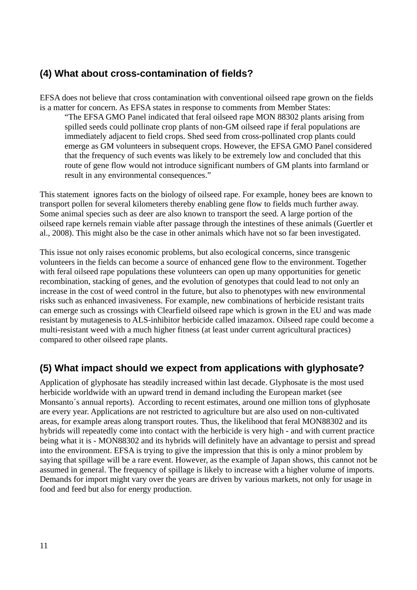# <span id="page-10-1"></span>**(4) What about cross-contamination of fields?**

EFSA does not believe that cross contamination with conventional oilseed rape grown on the fields is a matter for concern. As EFSA states in response to comments from Member States:

"The EFSA GMO Panel indicated that feral oilseed rape MON 88302 plants arising from spilled seeds could pollinate crop plants of non-GM oilseed rape if feral populations are immediately adjacent to field crops. Shed seed from cross-pollinated crop plants could emerge as GM volunteers in subsequent crops. However, the EFSA GMO Panel considered that the frequency of such events was likely to be extremely low and concluded that this route of gene flow would not introduce significant numbers of GM plants into farmland or result in any environmental consequences."

This statement ignores facts on the biology of oilseed rape. For example, honey bees are known to transport pollen for several kilometers thereby enabling gene flow to fields much further away. Some animal species such as deer are also known to transport the seed. A large portion of the oilseed rape kernels remain viable after passage through the intestines of these animals (Guertler et al., 2008). This might also be the case in other animals which have not so far been investigated.

This issue not only raises economic problems, but also ecological concerns, since transgenic volunteers in the fields can become a source of enhanced gene flow to the environment. Together with feral oilseed rape populations these volunteers can open up many opportunities for genetic recombination, stacking of genes, and the evolution of genotypes that could lead to not only an increase in the cost of weed control in the future, but also to phenotypes with new environmental risks such as enhanced invasiveness. For example, new combinations of herbicide resistant traits can emerge such as crossings with Clearfield oilseed rape which is grown in the EU and was made resistant by mutagenesis to ALS-inhibitor herbicide called imazamox. Oilseed rape could become a multi-resistant weed with a much higher fitness (at least under current agricultural practices) compared to other oilseed rape plants.

# <span id="page-10-0"></span>**(5) What impact should we expect from applications with glyphosate?**

Application of glyphosate has steadily increased within last decade. Glyphosate is the most used herbicide worldwide with an upward trend in demand including the European market (see Monsanto´s annual reports). According to recent estimates, around one million tons of glyphosate are every year. Applications are not restricted to agriculture but are also used on non-cultivated areas, for example areas along transport routes. Thus, the likelihood that feral MON88302 and its hybrids will repeatedly come into contact with the herbicide is very high - and with current practice being what it is - MON88302 and its hybrids will definitely have an advantage to persist and spread into the environment. EFSA is trying to give the impression that this is only a minor problem by saying that spillage will be a rare event. However, as the example of Japan shows, this cannot not be assumed in general. The frequency of spillage is likely to increase with a higher volume of imports. Demands for import might vary over the years are driven by various markets, not only for usage in food and feed but also for energy production.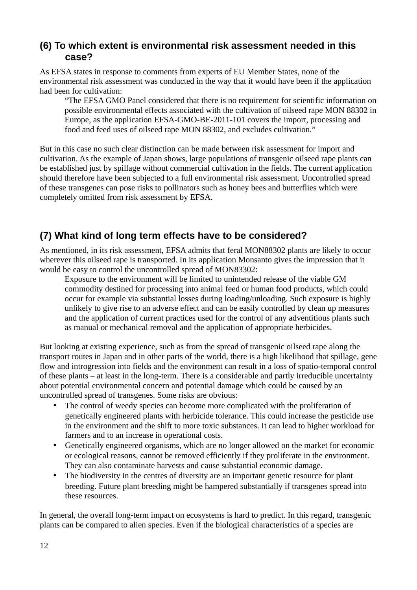### <span id="page-11-1"></span>**(6) To which extent is environmental risk assessment needed in this case?**

As EFSA states in response to comments from experts of EU Member States, none of the environmental risk assessment was conducted in the way that it would have been if the application had been for cultivation:

"The EFSA GMO Panel considered that there is no requirement for scientific information on possible environmental effects associated with the cultivation of oilseed rape MON 88302 in Europe, as the application EFSA-GMO-BE-2011-101 covers the import, processing and food and feed uses of oilseed rape MON 88302, and excludes cultivation."

But in this case no such clear distinction can be made between risk assessment for import and cultivation. As the example of Japan shows, large populations of transgenic oilseed rape plants can be established just by spillage without commercial cultivation in the fields. The current application should therefore have been subjected to a full environmental risk assessment. Uncontrolled spread of these transgenes can pose risks to pollinators such as honey bees and butterflies which were completely omitted from risk assessment by EFSA.

# <span id="page-11-0"></span>**(7) What kind of long term effects have to be considered?**

As mentioned, in its risk assessment, EFSA admits that feral MON88302 plants are likely to occur wherever this oilseed rape is transported. In its application Monsanto gives the impression that it would be easy to control the uncontrolled spread of MON83302:

Exposure to the environment will be limited to unintended release of the viable GM commodity destined for processing into animal feed or human food products, which could occur for example via substantial losses during loading/unloading. Such exposure is highly unlikely to give rise to an adverse effect and can be easily controlled by clean up measures and the application of current practices used for the control of any adventitious plants such as manual or mechanical removal and the application of appropriate herbicides.

But looking at existing experience, such as from the spread of transgenic oilseed rape along the transport routes in Japan and in other parts of the world, there is a high likelihood that spillage, gene flow and introgression into fields and the environment can result in a loss of spatio-temporal control of these plants – at least in the long-term. There is a considerable and partly irreducible uncertainty about potential environmental concern and potential damage which could be caused by an uncontrolled spread of transgenes. Some risks are obvious:

- The control of weedy species can become more complicated with the proliferation of genetically engineered plants with herbicide tolerance. This could increase the pesticide use in the environment and the shift to more toxic substances. It can lead to higher workload for farmers and to an increase in operational costs.
- Genetically engineered organisms, which are no longer allowed on the market for economic or ecological reasons, cannot be removed efficiently if they proliferate in the environment. They can also contaminate harvests and cause substantial economic damage.
- The biodiversity in the centres of diversity are an important genetic resource for plant breeding. Future plant breeding might be hampered substantially if transgenes spread into these resources.

In general, the overall long-term impact on ecosystems is hard to predict. In this regard, transgenic plants can be compared to alien species. Even if the biological characteristics of a species are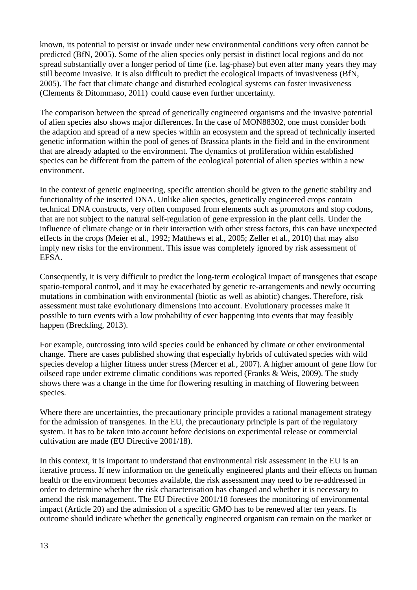known, its potential to persist or invade under new environmental conditions very often cannot be predicted (BfN, 2005). Some of the alien species only persist in distinct local regions and do not spread substantially over a longer period of time (i.e. lag-phase) but even after many years they may still become invasive. It is also difficult to predict the ecological impacts of invasiveness (BfN, 2005). The fact that climate change and disturbed ecological systems can foster invasiveness (Clements & Ditommaso, 2011) could cause even further uncertainty.

The comparison between the spread of genetically engineered organisms and the invasive potential of alien species also shows major differences. In the case of MON88302, one must consider both the adaption and spread of a new species within an ecosystem and the spread of technically inserted genetic information within the pool of genes of Brassica plants in the field and in the environment that are already adapted to the environment. The dynamics of proliferation within established species can be different from the pattern of the ecological potential of alien species within a new environment.

In the context of genetic engineering, specific attention should be given to the genetic stability and functionality of the inserted DNA. Unlike alien species, genetically engineered crops contain technical DNA constructs, very often composed from elements such as promotors and stop codons, that are not subject to the natural self-regulation of gene expression in the plant cells. Under the influence of climate change or in their interaction with other stress factors, this can have unexpected effects in the crops (Meier et al., 1992; Matthews et al., 2005; Zeller et al., 2010) that may also imply new risks for the environment. This issue was completely ignored by risk assessment of EFSA.

Consequently, it is very difficult to predict the long-term ecological impact of transgenes that escape spatio-temporal control, and it may be exacerbated by genetic re-arrangements and newly occurring mutations in combination with environmental (biotic as well as abiotic) changes. Therefore, risk assessment must take evolutionary dimensions into account. Evolutionary processes make it possible to turn events with a low probability of ever happening into events that may feasibly happen (Breckling, 2013).

For example, outcrossing into wild species could be enhanced by climate or other environmental change. There are cases published showing that especially hybrids of cultivated species with wild species develop a higher fitness under stress (Mercer et al., 2007). A higher amount of gene flow for oilseed rape under extreme climatic conditions was reported (Franks & Weis, 2009). The study shows there was a change in the time for flowering resulting in matching of flowering between species.

Where there are uncertainties, the precautionary principle provides a rational management strategy for the admission of transgenes. In the EU, the precautionary principle is part of the regulatory system. It has to be taken into account before decisions on experimental release or commercial cultivation are made (EU Directive 2001/18).

In this context, it is important to understand that environmental risk assessment in the EU is an iterative process. If new information on the genetically engineered plants and their effects on human health or the environment becomes available, the risk assessment may need to be re-addressed in order to determine whether the risk characterisation has changed and whether it is necessary to amend the risk management. The EU Directive 2001/18 foresees the monitoring of environmental impact (Article 20) and the admission of a specific GMO has to be renewed after ten years. Its outcome should indicate whether the genetically engineered organism can remain on the market or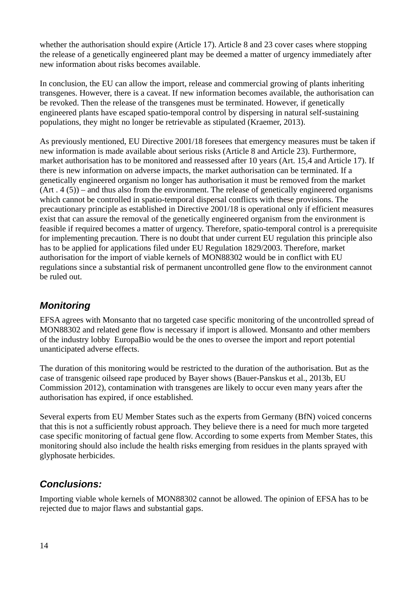whether the authorisation should expire (Article 17). Article 8 and 23 cover cases where stopping the release of a genetically engineered plant may be deemed a matter of urgency immediately after new information about risks becomes available.

In conclusion, the EU can allow the import, release and commercial growing of plants inheriting transgenes. However, there is a caveat. If new information becomes available, the authorisation can be revoked. Then the release of the transgenes must be terminated. However, if genetically engineered plants have escaped spatio-temporal control by dispersing in natural self-sustaining populations, they might no longer be retrievable as stipulated (Kraemer, 2013).

As previously mentioned, EU Directive 2001/18 foresees that emergency measures must be taken if new information is made available about serious risks (Article 8 and Article 23). Furthermore, market authorisation has to be monitored and reassessed after 10 years (Art. 15,4 and Article 17). If there is new information on adverse impacts, the market authorisation can be terminated. If a genetically engineered organism no longer has authorisation it must be removed from the market (Art . 4 (5)) – and thus also from the environment. The release of genetically engineered organisms which cannot be controlled in spatio-temporal dispersal conflicts with these provisions. The precautionary principle as established in Directive 2001/18 is operational only if efficient measures exist that can assure the removal of the genetically engineered organism from the environment is feasible if required becomes a matter of urgency. Therefore, spatio-temporal control is a prerequisite for implementing precaution. There is no doubt that under current EU regulation this principle also has to be applied for applications filed under EU Regulation 1829/2003. Therefore, market authorisation for the import of viable kernels of MON88302 would be in conflict with EU regulations since a substantial risk of permanent uncontrolled gene flow to the environment cannot be ruled out.

### <span id="page-13-1"></span>*Monitoring*

EFSA agrees with Monsanto that no targeted case specific monitoring of the uncontrolled spread of MON88302 and related gene flow is necessary if import is allowed. Monsanto and other members of the industry lobby EuropaBio would be the ones to oversee the import and report potential unanticipated adverse effects.

The duration of this monitoring would be restricted to the duration of the authorisation. But as the case of transgenic oilseed rape produced by Bayer shows (Bauer-Panskus et al., 2013b, EU Commission 2012), contamination with transgenes are likely to occur even many years after the authorisation has expired, if once established.

Several experts from EU Member States such as the experts from Germany (BfN) voiced concerns that this is not a sufficiently robust approach. They believe there is a need for much more targeted case specific monitoring of factual gene flow. According to some experts from Member States, this monitoring should also include the health risks emerging from residues in the plants sprayed with glyphosate herbicides.

# <span id="page-13-0"></span>*Conclusions:*

Importing viable whole kernels of MON88302 cannot be allowed. The opinion of EFSA has to be rejected due to major flaws and substantial gaps.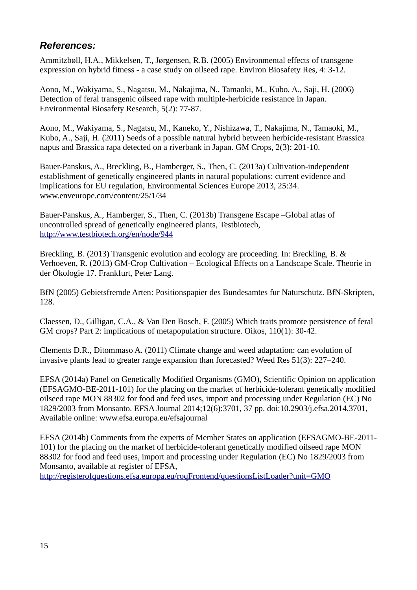#### <span id="page-14-0"></span>*References:*

Ammitzbøll, H.A., Mikkelsen, T., Jørgensen, R.B. (2005) Environmental effects of transgene expression on hybrid fitness - a case study on oilseed rape. Environ Biosafety Res, 4: 3-12.

Aono, M., Wakiyama, S., Nagatsu, M., Nakajima, N., Tamaoki, M., Kubo, A., Saji, H. (2006) Detection of feral transgenic oilseed rape with multiple-herbicide resistance in Japan. Environmental Biosafety Research, 5(2): 77-87.

Aono, M., Wakiyama, S., Nagatsu, M., Kaneko, Y., Nishizawa, T., Nakajima, N., Tamaoki, M., Kubo, A., Saji, H. (2011) Seeds of a possible natural hybrid between herbicide-resistant Brassica napus and Brassica rapa detected on a riverbank in Japan. GM Crops, 2(3): 201-10.

Bauer-Panskus, A., Breckling, B., Hamberger, S., Then, C. (2013a) Cultivation-independent establishment of genetically engineered plants in natural populations: current evidence and implications for EU regulation, Environmental Sciences Europe 2013, 25:34. www.enveurope.com/content/25/1/34

Bauer-Panskus, A., Hamberger, S., Then, C. (2013b) Transgene Escape –Global atlas of uncontrolled spread of genetically engineered plants, Testbiotech, <http://www.testbiotech.org/en/node/944>

Breckling, B. (2013) Transgenic evolution and ecology are proceeding. In: Breckling, B. & Verhoeven, R. (2013) GM-Crop Cultivation – Ecological Effects on a Landscape Scale. Theorie in der Ökologie 17. Frankfurt, Peter Lang.

BfN (2005) Gebietsfremde Arten: Positionspapier des Bundesamtes fur Naturschutz. BfN-Skripten, 128.

Claessen, D., Gilligan, C.A., & Van Den Bosch, F. (2005) Which traits promote persistence of feral GM crops? Part 2: implications of metapopulation structure. Oikos, 110(1): 30-42.

Clements D.R., Ditommaso A. (2011) Climate change and weed adaptation: can evolution of invasive plants lead to greater range expansion than forecasted? Weed Res 51(3): 227–240.

EFSA (2014a) Panel on Genetically Modified Organisms (GMO), Scientific Opinion on application (EFSAGMO-BE-2011-101) for the placing on the market of herbicide-tolerant genetically modified oilseed rape MON 88302 for food and feed uses, import and processing under Regulation (EC) No 1829/2003 from Monsanto. EFSA Journal 2014;12(6):3701, 37 pp. doi:10.2903/j.efsa.2014.3701, Available online: www.efsa.europa.eu/efsajournal

EFSA (2014b) Comments from the experts of Member States on application (EFSAGMO-BE-2011- 101) for the placing on the market of herbicide-tolerant genetically modified oilseed rape MON 88302 for food and feed uses, import and processing under Regulation (EC) No 1829/2003 from Monsanto, available at register of EFSA,

<http://registerofquestions.efsa.europa.eu/roqFrontend/questionsListLoader?unit=GMO>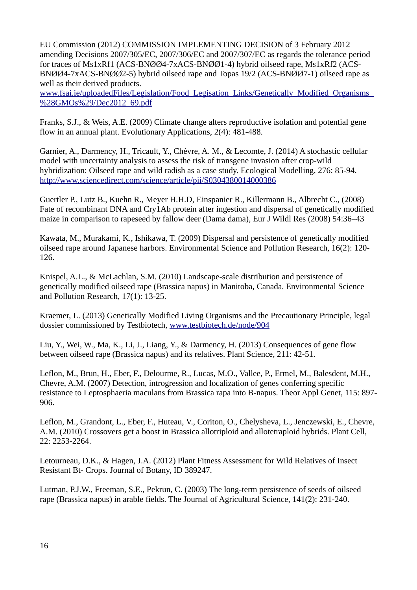EU Commission (2012) COMMISSION IMPLEMENTING DECISION of 3 February 2012 amending Decisions 2007/305/EC, 2007/306/EC and 2007/307/EC as regards the tolerance period for traces of Ms1xRf1 (ACS-BNØØ4-7xACS-BNØØ1-4) hybrid oilseed rape, Ms1xRf2 (ACS-BNØØ4-7xACS-BNØØ2-5) hybrid oilseed rape and Topas 19/2 (ACS-BNØØ7-1) oilseed rape as well as their derived products.

[www.fsai.ie/uploadedFiles/Legislation/Food\\_Legisation\\_Links/Genetically\\_Modified\\_Organisms\\_](http://www.fsai.ie/uploadedFiles/Legislation/Food_Legisation_Links/Genetically_Modified_Organisms_(GMOs)/Dec2012_69.pdf) [%28GMOs%29/Dec2012\\_69.pdf](http://www.fsai.ie/uploadedFiles/Legislation/Food_Legisation_Links/Genetically_Modified_Organisms_(GMOs)/Dec2012_69.pdf)

Franks, S.J., & Weis, A.E. (2009) Climate change alters reproductive isolation and potential gene flow in an annual plant. Evolutionary Applications, 2(4): 481-488.

Garnier, A., Darmency, H., Tricault, Y., Chèvre, A. M., & Lecomte, J. (2014) A stochastic cellular model with uncertainty analysis to assess the risk of transgene invasion after crop-wild hybridization: Oilseed rape and wild radish as a case study. Ecological Modelling, 276: 85-94. <http://www.sciencedirect.com/science/article/pii/S0304380014000386>

Guertler P., Lutz B., Kuehn R., Meyer H.H.D, Einspanier R., Killermann B., Albrecht C., (2008) Fate of recombinant DNA and Cry1Ab protein after ingestion and dispersal of genetically modified maize in comparison to rapeseed by fallow deer (Dama dama), Eur J Wildl Res (2008) 54:36–43

Kawata, M., Murakami, K., Ishikawa, T. (2009) Dispersal and persistence of genetically modified oilseed rape around Japanese harbors. Environmental Science and Pollution Research, 16(2): 120- 126.

Knispel, A.L., & McLachlan, S.M. (2010) Landscape-scale distribution and persistence of genetically modified oilseed rape (Brassica napus) in Manitoba, Canada. Environmental Science and Pollution Research, 17(1): 13-25.

Kraemer, L. (2013) Genetically Modified Living Organisms and the Precautionary Principle, legal dossier commissioned by Testbiotech, [www.testbiotech.de/node/904](http://www.testbiotech.de/node/904)

Liu, Y., Wei, W., Ma, K., Li, J., Liang, Y., & Darmency, H. (2013) Consequences of gene flow between oilseed rape (Brassica napus) and its relatives. Plant Science, 211: 42-51.

Leflon, M., Brun, H., Eber, F., Delourme, R., Lucas, M.O., Vallee, P., Ermel, M., Balesdent, M.H., Chevre, A.M. (2007) Detection, introgression and localization of genes conferring specific resistance to Leptosphaeria maculans from Brassica rapa into B-napus. Theor Appl Genet, 115: 897- 906.

Leflon, M., Grandont, L., Eber, F., Huteau, V., Coriton, O., Chelysheva, L., Jenczewski, E., Chevre, A.M. (2010) Crossovers get a boost in Brassica allotriploid and allotetraploid hybrids. Plant Cell, 22: 2253-2264.

Letourneau, D.K., & Hagen, J.A. (2012) Plant Fitness Assessment for Wild Relatives of Insect Resistant Bt- Crops. Journal of Botany, ID 389247.

Lutman, P.J.W., Freeman, S.E., Pekrun, C. (2003) The long-term persistence of seeds of oilseed rape (Brassica napus) in arable fields. The Journal of Agricultural Science, 141(2): 231-240.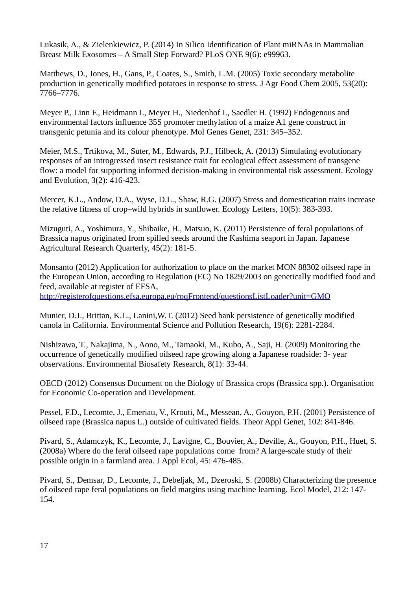Lukasik, A., & Zielenkiewicz, P. (2014) In Silico Identification of Plant miRNAs in Mammalian Breast Milk Exosomes – A Small Step Forward? PLoS ONE 9(6): e99963.

Matthews, D., Jones, H., Gans, P., Coates, S., Smith, L.M. (2005) Toxic secondary metabolite production in genetically modified potatoes in response to stress. J Agr Food Chem 2005, 53(20): 7766–7776.

Meyer P., Linn F., Heidmann I., Meyer H., Niedenhof I., Saedler H. (1992) Endogenous and environmental factors influence 35S promoter methylation of a maize A1 gene construct in transgenic petunia and its colour phenotype. Mol Genes Genet, 231: 345–352.

Meier, M.S., Trtikova, M., Suter, M., Edwards, P.J., Hilbeck, A. (2013) Simulating evolutionary responses of an introgressed insect resistance trait for ecological effect assessment of transgene flow: a model for supporting informed decision-making in environmental risk assessment. Ecology and Evolution, 3(2): 416-423.

Mercer, K.L., Andow, D.A., Wyse, D.L., Shaw, R.G. (2007) Stress and domestication traits increase the relative fitness of crop–wild hybrids in sunflower. Ecology Letters, 10(5): 383-393.

Mizuguti, A., Yoshimura, Y., Shibaike, H., Matsuo, K. (2011) Persistence of feral populations of Brassica napus originated from spilled seeds around the Kashima seaport in Japan. Japanese Agricultural Research Quarterly, 45(2): 181-5.

Monsanto (2012) Application for authorization to place on the market MON 88302 oilseed rape in the European Union, according to Regulation (EC) No 1829/2003 on genetically modified food and feed, available at register of EFSA,

<http://registerofquestions.efsa.europa.eu/roqFrontend/questionsListLoader?unit=GMO>

Munier, D.J., Brittan, K.L., Lanini,W.T. (2012) Seed bank persistence of genetically modified canola in California. Environmental Science and Pollution Research, 19(6): 2281-2284.

Nishizawa, T., Nakajima, N., Aono, M., Tamaoki, M., Kubo, A., Saji, H. (2009) Monitoring the occurrence of genetically modified oilseed rape growing along a Japanese roadside: 3- year observations. Environmental Biosafety Research, 8(1): 33-44.

OECD (2012) Consensus Document on the Biology of Brassica crops (Brassica spp.). Organisation for Economic Co-operation and Development.

Pessel, F.D., Lecomte, J., Emeriau, V., Krouti, M., Messean, A., Gouyon, P.H. (2001) Persistence of oilseed rape (Brassica napus L.) outside of cultivated fields. Theor Appl Genet, 102: 841-846.

Pivard, S., Adamczyk, K., Lecomte, J., Lavigne, C., Bouvier, A., Deville, A., Gouyon, P.H., Huet, S. (2008a) Where do the feral oilseed rape populations come from? A large-scale study of their possible origin in a farmland area. J Appl Ecol, 45: 476-485.

Pivard, S., Demsar, D., Lecomte, J., Debeljak, M., Dzeroski, S. (2008b) Characterizing the presence of oilseed rape feral populations on field margins using machine learning. Ecol Model, 212: 147- 154.